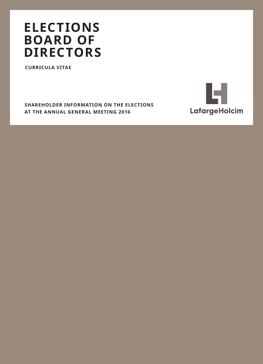# **ELECTIONS BOARD OF DIRECTORS**

**CURRICULA VITAE** 

**SHAREHOLDER INFORMATION ON THE ELECTIONS** AT THE ANNUAL GENERAL MEETING 2016

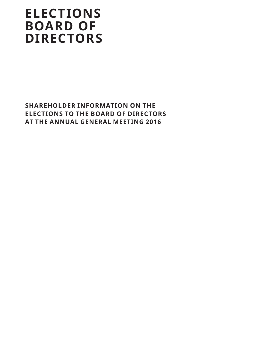# **ELECTIONS BOARD OF DIRECTORS**

**SHAREHOLDER INFORMATION ON THE ELECTIONS TO THE BOARD OF DIRECTORS AT THE ANNUAL GENERAL MEETING 2016**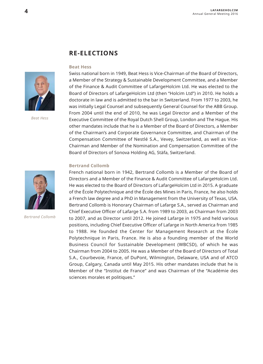## **RE-ELECTIONS**

#### **Beat Hess**



*Beat Hess*

Swiss national born in 1949, Beat Hess is Vice-Chairman of the Board of Directors, a Member of the Strategy & Sustainable Development Committee, and a Member of the Finance & Audit Committee of LafargeHolcim Ltd. He was elected to the Board of Directors of LafargeHolcim Ltd (then "Holcim Ltd") in 2010. He holds a doctorate in law and is admitted to the bar in Switzerland. From 1977 to 2003, he was initially Legal Counsel and subsequently General Counsel for the ABB Group. From 2004 until the end of 2010, he was Legal Director and a Member of the Executive Committee of the Royal Dutch Shell Group, London and The Hague. His other mandates include that he is a Member of the Board of Directors, a Member of the Chairman's and Corporate Governance Committee, and Chairman of the Compensation Committee of Nestlé S.A., Vevey, Switzerland, as well as Vice-Chairman and Member of the Nomination and Compensation Committee of the Board of Directors of Sonova Holding AG, Stäfa, Switzerland.

#### **Bertrand Collomb**

French national born in 1942, Bertrand Collomb is a Member of the Board of Directors and a Member of the Finance & Audit Committee of LafargeHolcim Ltd. He was elected to the Board of Directors of LafargeHolcim Ltd in 2015. A graduate of the École Polytechnique and the École des Mines in Paris, France, he also holds a French law degree and a PhD in Management from the University of Texas, USA. Bertrand Collomb is Honorary Chairman of Lafarge S.A., served as Chairman and Chief Executive Officer of Lafarge S.A. from 1989 to 2003, as Chairman from 2003 to 2007, and as Director until 2012. He joined Lafarge in 1975 and held various positions, including Chief Executive Officer of Lafarge in North America from 1985 to 1988. He founded the Center for Management Research at the École Polytechnique in Paris, France. He is also a founding member of the World Business Council for Sustainable Development (WBCSD), of which he was Chairman from 2004 to 2005. He was a Member of the Board of Directors of Total S.A., Courbevoie, France, of DuPont, Wilmington, Delaware, USA and of ATCO Group, Calgary, Canada until May 2015. His other mandates include that he is Member of the "Institut de France" and was Chairman of the "Académie des sciences morales et politiques."



*Bertrand Collomb*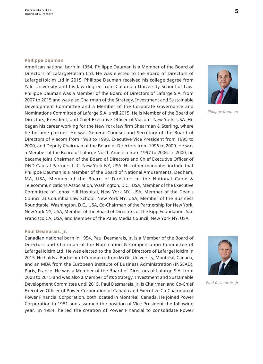#### **Philippe Dauman**

American national born in 1954, Philippe Dauman is a Member of the Board of Directors of LafargeHolcim Ltd. He was elected to the Board of Directors of LafargeHolcim Ltd in 2015. Philippe Dauman received his college degree from Yale University and his law degree from Columbia University School of Law. Philippe Dauman was a Member of the Board of Directors of Lafarge S.A. from 2007 to 2015 and was also Chairman of the Strategy, Investment and Sustainable Development Committee and a Member of the Corporate Governance and Nominations Committee of Lafarge S.A. until 2015. He is Member of the Board of Directors, President, and Chief Executive Officer of Viacom, New York, USA, He began his career working for the New York law firm Shearman & Sterling, where he became partner. He was General Counsel and Secretary of the Board of Directors of Viacom from 1993 to 1998. Executive Vice President from 1995 to 2000, and Deputy Chairman of the Board of Directors from 1996 to 2000. He was a Member of the Board of Lafarge North America from 1997 to 2006. In 2000, he became loint Chairman of the Board of Directors and Chief Executive Officer of DND Capital Partners LLC, New York NY, USA. His other mandates include that Philippe Dauman is a Member of the Board of National Amusements, Dedham, MA, USA, Member of the Board of Directors of the National Cable & Telecommunications Association, Washington, D.C., USA, Member of the Executive Committee of Lenox Hill Hospital, New York NY, USA, Member of the Dean's Council at Columbia Law School, New York NY, USA, Member of the Business Roundtable, Washington, D.C., USA, Co-Chairman of the Partnership for New York, New York NY, USA, Member of the Board of Directors of the Kipp Foundation, San Francisco CA, USA, and Member of the Paley Media Council, New York NY, USA.

### Paul Desmarais, Jr.

Canadian national born in 1954, Paul Desmarais, Jr. is a Member of the Board of Directors and Chairman of the Nomination & Compensation Committee of LafargeHolcim Ltd. He was elected to the Board of Directors of LafargeHolcim in 2015. He holds a Bachelor of Commerce from McGill University, Montréal, Canada, and an MBA from the European Institute of Business Administration (INSEAD), Paris, France. He was a Member of the Board of Directors of Lafarge S.A. from 2008 to 2015 and was also a Member of its Strategy, Investment and Sustainable Development Committee until 2015. Paul Desmarais, Jr. is Chairman and Co-Chief Executive Officer of Power Corporation of Canada and Executive Co-Chairman of Power Financial Corporation, both located in Montréal, Canada. He joined Power Corporation in 1981 and assumed the position of Vice-President the following year. In 1984, he led the creation of Power Financial to consolidate Power



Philippe Dauman



Paul Desmarais, Ir.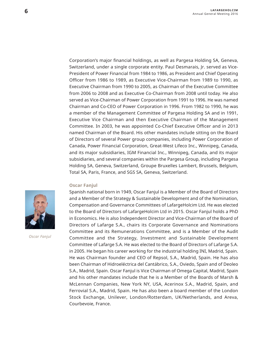Corporation's major financial holdings, as well as Pargesa Holding SA, Geneva, Switzerland, under a single corporate entity. Paul Desmarais, Jr. served as Vice-President of Power Financial from 1984 to 1986, as President and Chief Operating Officer from 1986 to 1989, as Executive Vice-Chairman from 1989 to 1990, as Executive Chairman from 1990 to 2005, as Chairman of the Executive Committee from 2006 to 2008 and as Executive Co-Chairman from 2008 until today. He also served as Vice-Chairman of Power Corporation from 1991 to 1996. He was named Chairman and Co-CEO of Power Corporation in 1996. From 1982 to 1990, he was a member of the Management Committee of Pargesa Holding SA and in 1991, Executive Vice Chairman and then Executive Chairman of the Management Committee. In 2003, he was appointed Co-Chief Executive Officer and in 2013 named Chairman of the Board. His other mandates include sitting on the Board of Directors of several Power group companies, including Power Corporation of Canada, Power Financial Corporation, Great-West Lifeco Inc., Winnipeg, Canada, and its major subsidiaries, IGM Financial Inc., Winnipeg, Canada, and its major subsidiaries, and several companies within the Pargesa Group, including Pargesa Holding SA, Geneva, Switzerland, Groupe Bruxelles Lambert, Brussels, Belgium, Total SA, Paris, France, and SGS SA, Geneva, Switzerland.

#### **Oscar Fanjul**

Spanish national born in 1949, Oscar Fanjul is a Member of the Board of Directors and a Member of the Strategy & Sustainable Development and of the Nomination, Compensation and Governance Committees of LafargeHolcim Ltd. He was elected to the Board of Directors of LafargeHolcim Ltd in 2015. Oscar Fanjul holds a PhD in Economics. He is also Independent Director and Vice-Chairman of the Board of Directors of Lafarge S.A., chairs its Corporate Governance and Nominations Committee and its Remunerations Committee, and is a Member of the Audit Committee and the Strategy, Investment and Sustainable Development Committee of Lafarge S.A. He was elected to the Board of Directors of Lafarge S.A. in 2005. He began his career working for the industrial holding INI, Madrid, Spain. He was Chairman founder and CEO of Repsol, S.A., Madrid, Spain. He has also been Chairman of Hidroeléctrica del Cantábrico, S.A., Oviedo, Spain and of Deoleo S.A., Madrid, Spain. Oscar Fanjul is Vice Chairman of Omega Capital, Madrid, Spain and his other mandates include that he is a Member of the Boards of Marsh & McLennan Companies, New York NY, USA, Acerinox S.A., Madrid, Spain, and Ferrovial S.A., Madrid, Spain. He has also been a board member of the London Stock Exchange, Unilever, London/Rotterdam, UK/Netherlands, and Areva, Courbevoie, France.



*Oscar Fanjul*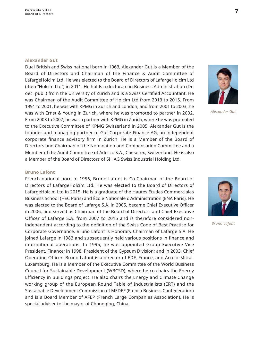#### **Alexander Gut**

Dual British and Swiss national born in 1963, Alexander Gut is a Member of the Board of Directors and Chairman of the Finance & Audit Committee of LafargeHolcim Ltd. He was elected to the Board of Directors of LafargeHolcim Ltd (then "Holcim Ltd") in 2011. He holds a doctorate in Business Administration (Dr. oec, publ.) from the University of Zurich and is a Swiss Certified Accountant. He was Chairman of the Audit Committee of Holcim Ltd from 2013 to 2015. From 1991 to 2001, he was with KPMG in Zurich and London, and from 2001 to 2003, he was with Ernst & Young in Zurich, where he was promoted to partner in 2002. From 2003 to 2007, he was a partner with KPMG in Zurich, where he was promoted to the Executive Committee of KPMG Switzerland in 2005. Alexander Gut is the founder and managing partner of Gut Corporate Finance AG, an independent corporate finance advisory firm in Zurich. He is a Member of the Board of Directors and Chairman of the Nomination and Compensation Committee and a Member of the Audit Committee of Adecco S.A., Cheserex, Switzerland. He is also a Member of the Board of Directors of SIHAG Swiss Industrial Holding Ltd.

*Alexander Gut*

#### **Bruno Lafont**

French national born in 1956, Bruno Lafont is Co-Chairman of the Board of Directors of LafargeHolcim Ltd. He was elected to the Board of Directors of LafargeHolcim Ltd in 2015. He is a graduate of the Hautes Études Commerciales Business School (HEC Paris) and École Nationale d'Administration (ENA Paris). He was elected to the Board of Lafarge S.A. in 2005, became Chief Executive Officer in 2006, and served as Chairman of the Board of Directors and Chief Executive Officer of Lafarge S.A. from 2007 to 2015 and is therefore considered nonindependent according to the definition of the Swiss Code of Best Practice for Corporate Governance. Bruno Lafont is Honorary Chairman of Lafarge S.A. He joined Lafarge in 1983 and subsequently held various positions in finance and international operations. In 1995, he was appointed Group Executive Vice President, Finance; in 1998, President of the Gypsum Division; and in 2003, Chief Operating Officer. Bruno Lafont is a director of EDF, France, and ArcelorMittal, Luxemburg. He is a Member of the Executive Committee of the World Business Council for Sustainable Development (WBCSD), where he co-chairs the Energy Efficiency in Buildings project. He also chairs the Energy and Climate Change working group of the European Round Table of Industrialists (ERT) and the Sustainable Development Commission of MEDEF (French Business Confederation) and is a Board Member of AFEP (French Large Companies Association). He is special adviser to the mayor of Chongqing, China.



*Bruno Lafont*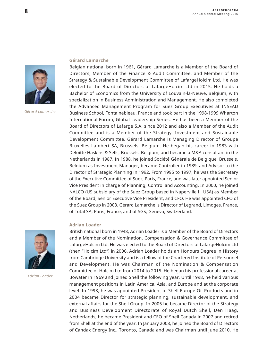

*Gérard Lamarche*

#### **Gérard Lamarche**

Belgian national born in 1961, Gérard Lamarche is a Member of the Board of Directors, Member of the Finance & Audit Committee, and Member of the Strategy & Sustainable Development Committee of LafargeHolcim Ltd. He was elected to the Board of Directors of LafargeHolcim Ltd in 2015. He holds a Bachelor of Economics from the University of Louvain-la-Neuve, Belgium, with specialization in Business Administration and Management. He also completed the Advanced Management Program for Suez Group Executives at INSEAD Business School, Fontainebleau, France and took part in the 1998-1999 Wharton International Forum, Global Leadership Series. He has been a Member of the Board of Directors of Lafarge S.A. since 2012 and also a Member of the Audit Committee and is a Member of the Strategy, Investment and Sustainable Development Committee. Gérard Lamarche is Managing Director of Groupe Bruxelles Lambert SA, Brussels, Belgium. He began his career in 1983 with Deloitte Haskins & Sells, Brussels, Belgium, and became a M&A consultant in the Netherlands in 1987. In 1988, he joined Société Générale de Belgique, Brussels, Belgium as Investment Manager, became Controller in 1989, and Advisor to the Director of Strategic Planning in 1992. From 1995 to 1997, he was the Secretary of the Executive Committee of Suez, Paris, France, and was later appointed Senior Vice President in charge of Planning, Control and Accounting. In 2000, he joined NALCO (US subsidiary of the Suez Group based in Naperville Il, USA) as Member of the Board, Senior Executive Vice President, and CFO. He was appointed CFO of the Suez Group in 2003. Gérard Lamarche is Director of Legrand, Limoges, France, of Total SA, Paris, France, and of SGS, Geneva, Switzerland.

#### **Adrian Loader**

British national born in 1948. Adrian Loader is a Member of the Board of Directors and a Member of the Nomination, Compensation & Governance Committee of LafargeHolcim Ltd. He was elected to the Board of Directors of LafargeHolcim Ltd (then "Holcim Ltd") in 2006. Adrian Loader holds an Honours Degree in History from Cambridge University and is a fellow of the Chartered Institute of Personnel and Development. He was Chairman of the Nomination & Compensation Committee of Holcim Ltd from 2014 to 2015. He began his professional career at Bowater in 1969 and joined Shell the following year. Until 1998, he held various management positions in Latin America, Asia, and Europe and at the corporate level. In 1998, he was appointed President of Shell Europe Oil Products and in 2004 became Director for strategic planning, sustainable development, and external affairs for the Shell Group. In 2005 he became Director of the Strategy and Business Development Directorate of Royal Dutch Shell, Den Haag, Netherlands; he became President and CEO of Shell Canada in 2007 and retired from Shell at the end of the year. In January 2008, he joined the Board of Directors of Candax Energy Inc., Toronto, Canada and was Chairman until June 2010. He



*Adrian Loader*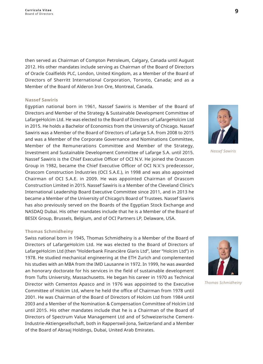then served as Chairman of Compton Petroleum, Calgary, Canada until August 2012. His other mandates include serving as Chairman of the Board of Directors of Oracle Coalfields PLC, London, United Kingdom, as a Member of the Board of Directors of Sherritt International Corporation, Toronto, Canada; and as a Member of the Board of Alderon Iron Ore, Montreal, Canada.

#### **Nassef Sawiris**

Egyptian national born in 1961, Nassef Sawiris is Member of the Board of Directors and Member of the Strategy & Sustainable Development Committee of LafargeHolcim Ltd. He was elected to the Board of Directors of LafargeHolcim Ltd in 2015. He holds a Bachelor of Economics from the University of Chicago. Nassef Sawiris was a Member of the Board of Directors of Lafarge S.A. from 2008 to 2015 and was a Member of the Corporate Governance and Nominations Committee, Member of the Remunerations Committee and Member of the Strategy, Investment and Sustainable Development Committee of Lafarge S.A. until 2015. Nassef Sawiris is the Chief Executive Officer of OCI N.V. He joined the Orascom Group in 1982, became the Chief Executive Officer of OCI N.V.'s predecessor, Orascom Construction Industries (OCI S.A.E.), in 1998 and was also appointed Chairman of OCI S.A.E. in 2009. He was appointed Chairman of Orascom Construction Limited in 2015. Nassef Sawiris is a Member of the Cleveland Clinic's International Leadership Board Executive Committee since 2011, and in 2013 he became a Member of the University of Chicago's Board of Trustees. Nassef Sawiris has also previously served on the Boards of the Eqyptian Stock Exchange and NASDAQ Dubai. His other mandates include that he is a Member of the Board of BESIX Group, Brussels, Belgium, and of OCI Partners LP, Delaware, USA.

#### **Thomas Schmidheiny**

Swiss national born in 1945, Thomas Schmidheiny is a Member of the Board of Directors of LafargeHolcim Ltd. He was elected to the Board of Directors of LafargeHolcim Ltd (then "Holderbank Financière Glaris Ltd", later "Holcim Ltd") in 1978. He studied mechanical engineering at the ETH Zurich and complemented his studies with an MBA from the IMD Lausanne in 1972. In 1999, he was awarded an honorary doctorate for his services in the field of sustainable development from Tufts University, Massachusetts. He began his career in 1970 as Technical Director with Cementos Apasco and in 1976 was appointed to the Executive Committee of Holcim Ltd. where he held the office of Chairman from 1978 until 2001. He was Chairman of the Board of Directors of Holcim Ltd from 1984 until 2003 and a Member of the Nomination & Compensation Committee of Holcim Ltd until 2015. His other mandates include that he is a Chairman of the Board of Directors of Spectrum Value Management Ltd and of Schweizerische Cement- Industrie-Aktiengesellschaft, both in Rapperswil-Jona, Switzerland and a Member of the Board of Abraaj Holdings, Dubai, United Arab Emirates.



*Nassef Sawiris*



*Thomas Schmidheiny*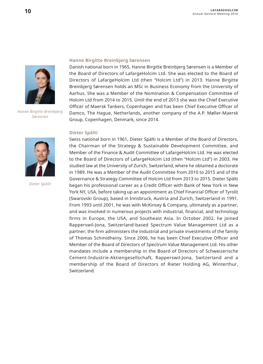

*Hanne Birgitte Breinbjerg Sørensen*



*Dieter Spälti*

#### **Hanne Birgitte Breinbjerg Sørensen**

Danish national born in 1965, Hanne Birgitte Breinbjerg Sørensen is a Member of the Board of Directors of LafargeHolcim Ltd. She was elected to the Board of Directors of LafargeHolcim Ltd (then "Holcim Ltd") in 2013. Hanne Birgitte Breinbjerg Sørensen holds an MSc in Business Economy from the University of Aarhus. She was a Member of the Nomination & Compensation Committee of Holcim Ltd from 2014 to 2015. Until the end of 2013 she was the Chief Executive Officer of Maersk Tankers, Copenhagen and has been Chief Executive Officer of Damco, The Haque, Netherlands, another company of the A.P. Møller-Maersk Group, Copenhagen, Denmark, since 2014.

#### **Dieter Spälti**

Swiss national born in 1961, Dieter Spälti is a Member of the Board of Directors, the Chairman of the Strategy & Sustainable Development Committee, and Member of the Finance & Audit Committee of LafargeHolcim Ltd. He was elected to the Board of Directors of LafargeHolcim Ltd (then "Holcim Ltd") in 2003. He studied law at the University of Zurich, Switzerland, where he obtained a doctorate in 1989. He was a Member of the Audit Committee from 2010 to 2015 and of the Governance & Strategy Committee of Holcim Ltd from 2013 to 2015. Dieter Spälti began his professional career as a Credit Officer with Bank of New York in New York NY, USA, before taking up an appointment as Chief Financial Officer of Tyrolit (Swarovski Group), based in Innsbruck, Austria and Zurich, Switzerland in 1991. From 1993 until 2001, he was with McKinsey & Company, ultimately as a partner, and was involved in numerous projects with industrial, financial, and technology firms in Europe, the USA, and Southeast Asia. In October 2002, he joined Rapperswil-Jona, Switzerland-based Spectrum Value Management Ltd as a partner; the firm administers the industrial and private investments of the family of Thomas Schmidheiny. Since 2006, he has been Chief Executive Officer and Member of the Board of Directors of Spectrum Value Management Ltd. His other mandates include a membership in the Board of Directors of Schweizerische Cement-Industrie-Aktiengesellschaft, Rapperswil-Jona, Switzerland and a membership of the Board of Directors of Rieter Holding AG, Winterthur, Switzerland.